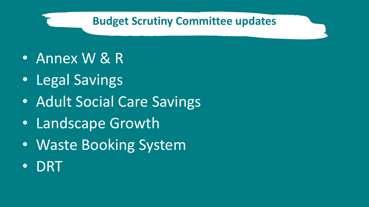#### **Budget Scrutiny Committee updates**

- Annex W & R
- Legal Savings
- Adult Social Care Savings
- Landscape Growth
- Waste Booking System
- DRT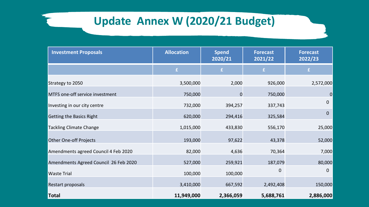#### **Update Annex W (2020/21 Budget)**

| <b>Investment Proposals</b>           | <b>Allocation</b> | <b>Spend</b><br>2020/21 | <b>Forecast</b><br>2021/22 | <b>Forecast</b><br>2022/23 |
|---------------------------------------|-------------------|-------------------------|----------------------------|----------------------------|
|                                       | £.                | £.                      | £                          | £                          |
| Strategy to 2050                      | 3,500,000         | 2,000                   | 926,000                    | 2,572,000                  |
| MTFS one-off service investment       | 750,000           | 0                       | 750,000                    | $\mathbf 0$                |
| Investing in our city centre          | 732,000           | 394,257                 | 337,743                    | $\mathbf{0}$               |
| Getting the Basics Right              | 620,000           | 294,416                 | 325,584                    | $\mathbf{0}$               |
| <b>Tackling Climate Change</b>        | 1,015,000         | 433,830                 | 556,170                    | 25,000                     |
| Other One-off Projects                | 193,000           | 97,622                  | 43,378                     | 52,000                     |
| Amendments agreed Council 4 Feb 2020  | 82,000            | 4,636                   | 70,364                     | 7,000                      |
| Amendments Agreed Council 26 Feb 2020 | 527,000           | 259,921                 | 187,079                    | 80,000                     |
| <b>Waste Trial</b>                    | 100,000           | 100,000                 | 0                          | $\mathbf{0}$               |
| Restart proposals                     | 3,410,000         | 667,592                 | 2,492,408                  | 150,000                    |
| <b>Total</b>                          | 11,949,000        | 2,366,059               | 5,688,761                  | 2,886,000                  |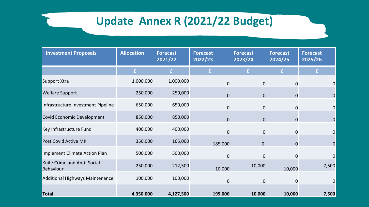### **Update Annex R (2021/22 Budget)**

| <b>Investment Proposals</b>                      | <b>Allocation</b> | <b>Forecast</b><br>2021/22 | <b>Forecast</b><br>2022/23 | <b>Forecast</b><br>2023/24 | <b>Forecast</b><br>2024/25 | <b>Forecast</b><br>2025/26 |
|--------------------------------------------------|-------------------|----------------------------|----------------------------|----------------------------|----------------------------|----------------------------|
|                                                  | £                 | £                          | £                          | £                          | £.                         | £                          |
| Support Xtra                                     | 1,000,000         | 1,000,000                  | $\Omega$                   | 0                          | $\Omega$                   | 0                          |
| <b>Welfare Support</b>                           | 250,000           | 250,000                    | $\mathbf 0$                | $\mathbf 0$                | $\mathbf 0$                | 0                          |
| Infrastructure Investment Pipeline               | 650,000           | 650,000                    | $\mathbf 0$                | 0                          | 0                          | $\overline{0}$             |
| Covid Economic Development                       | 850,000           | 850,000                    | $\overline{0}$             | $\mathbf 0$                | $\mathbf 0$                | $\overline{0}$             |
| Key Infrastructure Fund                          | 400,000           | 400,000                    | 0                          | $\mathbf 0$                | 0                          | $\overline{0}$             |
| Post Covid Active MK                             | 350,000           | 165,000                    | 185,000                    | $\mathbf{0}$               | $\Omega$                   | 0                          |
| Implement Climate Action Plan                    | 500,000           | 500,000                    | 0                          | 0                          | $\Omega$                   | $\Omega$                   |
| Knife Crime and Anti- Social<br><b>Behaviour</b> | 250,000           | 212,500                    | 10,000                     | 10,000                     | 10,000                     | 7,500                      |
| Additional Highways Maintenance                  | 100,000           | 100,000                    | 0                          | 0                          | $\Omega$                   | $\Omega$                   |
| <b>Total</b>                                     | 4,350,000         | 4,127,500                  | 195,000                    | 10,000                     | 10,000                     | 7,500                      |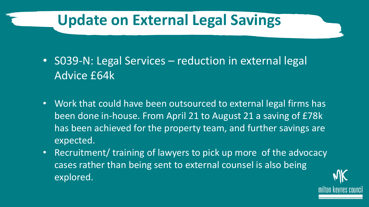### **Update on External Legal Savings**

- S039-N: Legal Services reduction in external legal Advice £64k
- Work that could have been outsourced to external legal firms has been done in-house. From April 21 to August 21 a saving of £78k has been achieved for the property team, and further savings are expected.
- Recruitment/ training of lawyers to pick up more of the advocacy cases rather than being sent to external counsel is also being explored.

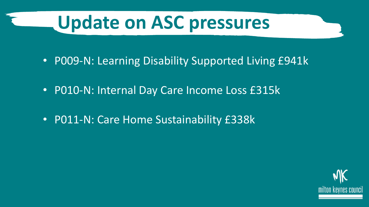## **Update on ASC pressures**

- P009-N: Learning Disability Supported Living £941k
- P010-N: Internal Day Care Income Loss £315k
- P011-N: Care Home Sustainability £338k

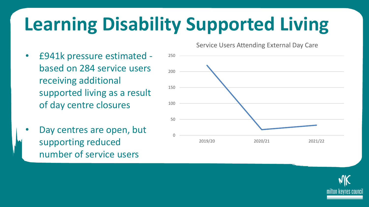# **Learning Disability Supported Living**

- £941k pressure estimated based on 284 service users receiving additional supported living as a result of day centre closures
- Day centres are open, but supporting reduced number of service users

Service Users Attending External Day Care



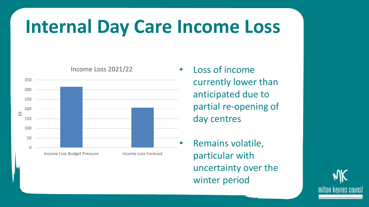## **Internal Day Care Income Loss**



Income Loss 2021/22

#### Loss of income currently lower than anticipated due to partial re-opening of day centres

• Remains volatile, particular with uncertainty over the winter period

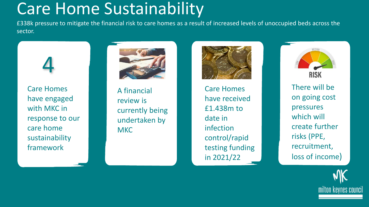### Care Home Sustainability

£338k pressure to mitigate the financial risk to care homes as a result of increased levels of unoccupied beds across the sector.



Care Homes have engaged with MKC in response to our care home sustainability framework



A financial review is currently being undertaken by **MKC** 



Care Homes have received £1.438m to date in infection control/rapid testing funding in 2021/22



There will be on going cost pressures which will create further risks (PPE, recruitment, loss of income)